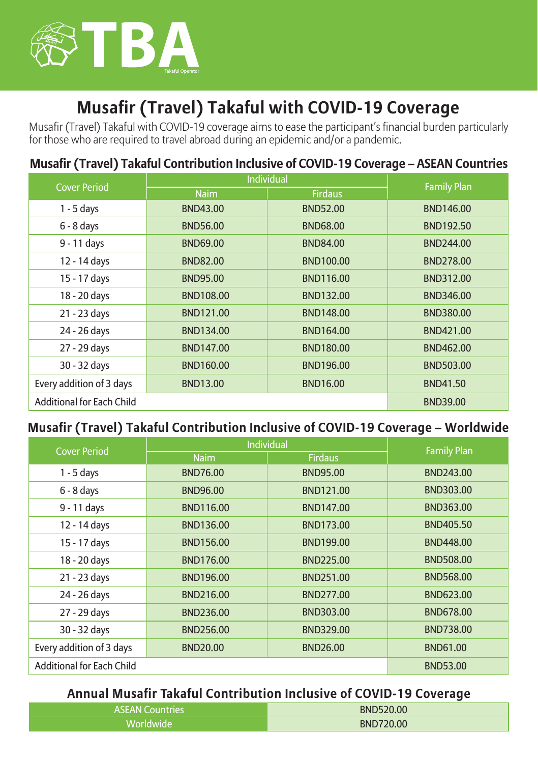

# **Musafir (Travel) Takaful with COVID-19 Coverage**

Musafir (Travel) Takaful with COVID-19 coverage aims to ease the participant's financial burden particularly for those who are required to travel abroad during an epidemic and/or a pandemic.

# **Musafir (Travel) Takaful Contribution Inclusive of COVID-19 Coverage – ASEAN Countries**

| <b>Cover Period</b>              | Individual       |                  | <b>Family Plan</b> |  |
|----------------------------------|------------------|------------------|--------------------|--|
|                                  | <b>Naim</b>      | <b>Firdaus</b>   |                    |  |
| $1 - 5$ days                     | <b>BND43.00</b>  | <b>BND52.00</b>  | <b>BND146.00</b>   |  |
| $6 - 8$ days                     | <b>BND56.00</b>  | <b>BND68.00</b>  | <b>BND192.50</b>   |  |
| 9 - 11 days                      | <b>BND69.00</b>  | <b>BND84.00</b>  | <b>BND244.00</b>   |  |
| 12 - 14 days                     | <b>BND82.00</b>  | <b>BND100.00</b> | <b>BND278.00</b>   |  |
| 15 - 17 days                     | <b>BND95.00</b>  | <b>BND116.00</b> | BND312.00          |  |
| 18 - 20 days                     | <b>BND108.00</b> | <b>BND132.00</b> | BND346.00          |  |
| 21 - 23 days                     | <b>BND121.00</b> | <b>BND148.00</b> | <b>BND380.00</b>   |  |
| 24 - 26 days                     | <b>BND134.00</b> | <b>BND164.00</b> | BND421.00          |  |
| 27 - 29 days                     | <b>BND147.00</b> | <b>BND180.00</b> | BND462.00          |  |
| 30 - 32 days                     | <b>BND160.00</b> | <b>BND196.00</b> | <b>BND503.00</b>   |  |
| Every addition of 3 days         | <b>BND13.00</b>  | <b>BND16.00</b>  | <b>BND41.50</b>    |  |
| <b>Additional for Each Child</b> |                  | <b>BND39.00</b>  |                    |  |

#### **Musafir (Travel) Takaful Contribution Inclusive of COVID-19 Coverage – Worldwide**

| <b>Cover Period</b>              | Individual       |                  | <b>Family Plan</b> |  |
|----------------------------------|------------------|------------------|--------------------|--|
|                                  | <b>Naim</b>      | <b>Firdaus</b>   |                    |  |
| $1 - 5$ days                     | <b>BND76.00</b>  | <b>BND95.00</b>  | <b>BND243.00</b>   |  |
| $6 - 8$ days                     | <b>BND96.00</b>  | <b>BND121.00</b> | <b>BND303.00</b>   |  |
| 9 - 11 days                      | BND116.00        | BND147.00        | BND363.00          |  |
| 12 - 14 days                     | <b>BND136.00</b> | BND173.00        | <b>BND405.50</b>   |  |
| 15 - 17 days                     | <b>BND156.00</b> | <b>BND199.00</b> | BND448.00          |  |
| 18 - 20 days                     | <b>BND176.00</b> | BND225.00        | <b>BND508.00</b>   |  |
| 21 - 23 days                     | <b>BND196.00</b> | BND251.00        | <b>BND568.00</b>   |  |
| 24 - 26 days                     | BND216.00        | BND277.00        | BND623.00          |  |
| 27 - 29 days                     | BND236.00        | BND303.00        | <b>BND678.00</b>   |  |
| 30 - 32 days                     | BND256.00        | BND329.00        | BND738.00          |  |
| Every addition of 3 days         | <b>BND20.00</b>  | <b>BND26.00</b>  | <b>BND61.00</b>    |  |
| <b>Additional for Each Child</b> |                  |                  | <b>BND53.00</b>    |  |

#### **Annual Musafir Takaful Contribution Inclusive of COVID-19 Coverage**

| <b>ASEAN Countries</b> | <b>BND520.00</b> |
|------------------------|------------------|
| Worldwide              | <b>BND720.00</b> |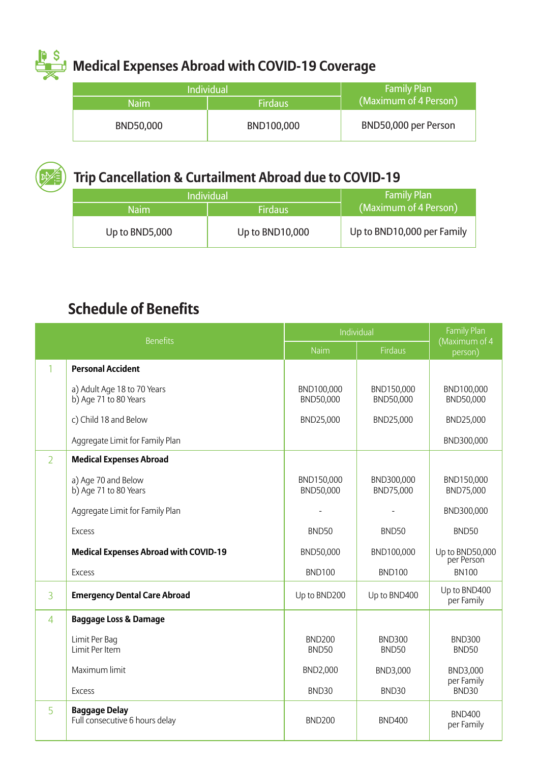# **Medical Expenses Abroad with COVID-19 Coverage**

| <b>Individual</b> |                | <b>Family Plan</b>     |  |
|-------------------|----------------|------------------------|--|
| <b>Naim</b>       | <b>Firdaus</b> | (Maximum of 4 Person). |  |
| BND50.000         | BND100.000     | BND50,000 per Person   |  |



# **Trip Cancellation & Curtailment Abroad due to COVID-19**

|      | <b>Individual</b> |                 | <b>Family Plan</b>         |
|------|-------------------|-----------------|----------------------------|
| Naim |                   | <b>Firdaus</b>  | (Maximum of 4 Person)      |
|      | Up to BND5,000    | Up to BND10,000 | Up to BND10,000 per Family |

# **Schedule of Benefits**

| <b>Benefits</b> |                                                        | Individual                    |                               | <b>Family Plan</b><br>(Maximum of 4 |
|-----------------|--------------------------------------------------------|-------------------------------|-------------------------------|-------------------------------------|
|                 |                                                        | Naim                          | <b>Firdaus</b>                | person)                             |
| 1               | <b>Personal Accident</b>                               |                               |                               |                                     |
|                 | a) Adult Age 18 to 70 Years<br>b) Age 71 to 80 Years   | BND100,000<br>BND50,000       | BND150,000<br>BND50,000       | BND100,000<br>BND50,000             |
|                 | c) Child 18 and Below                                  | BND25,000                     | BND25,000                     | BND25,000                           |
|                 | Aggregate Limit for Family Plan                        |                               |                               | BND300,000                          |
| $\overline{2}$  | <b>Medical Expenses Abroad</b>                         |                               |                               |                                     |
|                 | a) Age 70 and Below<br>b) Age 71 to 80 Years           | BND150,000<br>BND50,000       | BND300,000<br>BND75,000       | BND150,000<br>BND75,000             |
|                 | Aggregate Limit for Family Plan                        |                               |                               | BND300,000                          |
|                 | Excess                                                 | BND50                         | BND50                         | BND50                               |
|                 | <b>Medical Expenses Abroad with COVID-19</b>           | BND50,000                     | BND100,000                    | Up to BND50,000<br>per Person       |
|                 | Excess                                                 | <b>BND100</b>                 | <b>BND100</b>                 | <b>BN100</b>                        |
| 3               | <b>Emergency Dental Care Abroad</b>                    | Up to BND200                  | Up to BND400                  | Up to BND400<br>per Family          |
| 4               | <b>Baggage Loss &amp; Damage</b>                       |                               |                               |                                     |
|                 | Limit Per Bag<br>Limit Per Item                        | <b>BND200</b><br><b>BND50</b> | <b>BND300</b><br><b>BND50</b> | <b>BND300</b><br><b>BND50</b>       |
|                 | Maximum limit                                          | BND2,000                      | BND3,000                      | BND3,000                            |
|                 | Excess                                                 | BND <sub>30</sub>             | <b>BND30</b>                  | per Family<br>BND30                 |
| 5               | <b>Baggage Delay</b><br>Full consecutive 6 hours delay | <b>BND200</b>                 | <b>BND400</b>                 | <b>BND400</b><br>per Family         |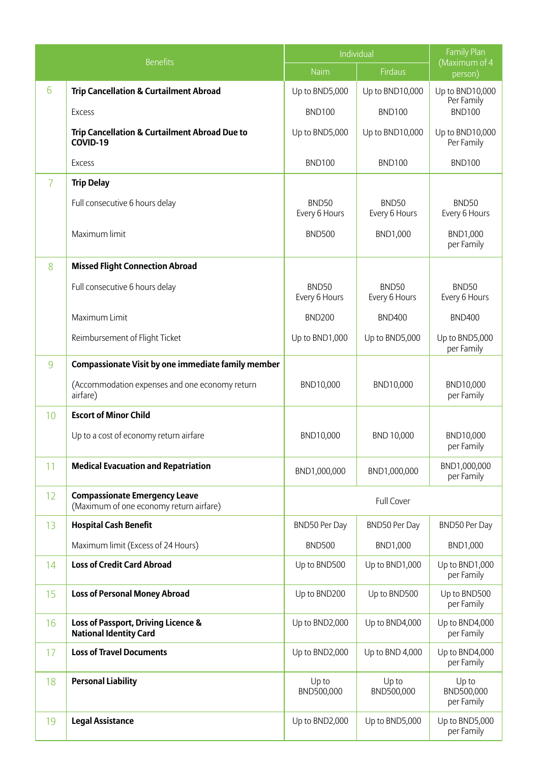|    |                                                                                 | Individual             |                                    | Family Plan                        |
|----|---------------------------------------------------------------------------------|------------------------|------------------------------------|------------------------------------|
|    | <b>Benefits</b>                                                                 | Naim                   | <b>Firdaus</b>                     | (Maximum of 4<br>person)           |
| 6  | <b>Trip Cancellation &amp; Curtailment Abroad</b>                               | Up to BND5,000         | Up to BND10,000                    | Up to BND10,000<br>Per Family      |
|    | Excess                                                                          | <b>BND100</b>          | <b>BND100</b>                      | <b>BND100</b>                      |
|    | <b>Trip Cancellation &amp; Curtailment Abroad Due to</b><br>COVID-19            | Up to BND5,000         | Up to BND10,000                    | Up to BND10,000<br>Per Family      |
|    | <b>Excess</b>                                                                   | <b>BND100</b>          | <b>BND100</b>                      | <b>BND100</b>                      |
| 7  | <b>Trip Delay</b>                                                               |                        |                                    |                                    |
|    | Full consecutive 6 hours delay                                                  | BND50<br>Every 6 Hours | BND50<br>Every 6 Hours             | BND50<br>Every 6 Hours             |
|    | Maximum limit                                                                   | <b>BND500</b>          | BND1,000                           | BND1,000<br>per Family             |
| 8  | <b>Missed Flight Connection Abroad</b>                                          |                        |                                    |                                    |
|    | Full consecutive 6 hours delay                                                  | BND50<br>Every 6 Hours | BND <sub>50</sub><br>Every 6 Hours | BND <sub>50</sub><br>Every 6 Hours |
|    | Maximum Limit                                                                   | <b>BND200</b>          | <b>BND400</b>                      | <b>BND400</b>                      |
|    | Reimbursement of Flight Ticket                                                  | Up to BND1,000         | Up to BND5,000                     | Up to BND5,000<br>per Family       |
| 9  | Compassionate Visit by one immediate family member                              |                        |                                    |                                    |
|    | (Accommodation expenses and one economy return<br>airfare)                      | BND10.000              | BND10.000                          | BND10.000<br>per Family            |
| 10 | <b>Escort of Minor Child</b>                                                    |                        |                                    |                                    |
|    | Up to a cost of economy return airfare                                          | BND10,000              | BND 10,000                         | BND10,000<br>per Family            |
| 11 | <b>Medical Evacuation and Repatriation</b>                                      | BND1,000,000           | BND1,000,000                       | BND1,000,000<br>per Family         |
| 12 | <b>Compassionate Emergency Leave</b><br>(Maximum of one economy return airfare) |                        | <b>Full Cover</b>                  |                                    |
| 13 | <b>Hospital Cash Benefit</b>                                                    | BND50 Per Day          | BND50 Per Day                      | BND50 Per Day                      |
|    | Maximum limit (Excess of 24 Hours)                                              | <b>BND500</b>          | BND1,000                           | BND1,000                           |
| 14 | <b>Loss of Credit Card Abroad</b>                                               | Up to BND500           | Up to BND1,000                     | Up to BND1,000<br>per Family       |
| 15 | <b>Loss of Personal Money Abroad</b>                                            | Up to BND200           | Up to BND500                       | Up to BND500<br>per Family         |
| 16 | Loss of Passport, Driving Licence &<br><b>National Identity Card</b>            | Up to BND2,000         | Up to BND4,000                     | Up to BND4,000<br>per Family       |
| 17 | <b>Loss of Travel Documents</b>                                                 | Up to BND2,000         | Up to BND 4,000                    | Up to BND4,000<br>per Family       |
| 18 | <b>Personal Liability</b>                                                       | Up to<br>BND500,000    | Up to<br>BND500,000                | Up to<br>BND500,000<br>per Family  |
| 19 | <b>Legal Assistance</b>                                                         | Up to BND2,000         | Up to BND5,000                     | Up to BND5,000<br>per Family       |